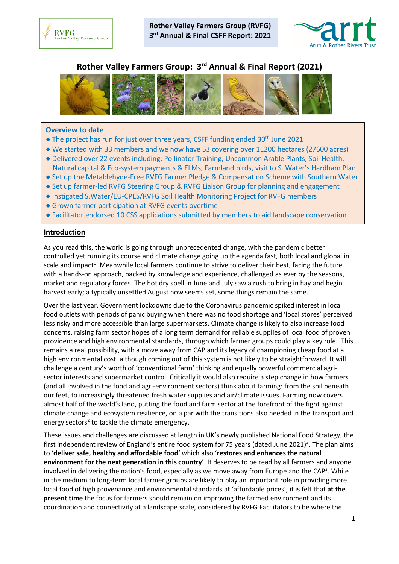



# **Rother Valley Farmers Group: 3 rd Annual & Final Report (2021)**



#### **Overview to date**

- The project has run for just over three years, CSFF funding ended 30<sup>th</sup> June 2021
- We started with 33 members and we now have 53 covering over 11200 hectares (27600 acres)
- Delivered over 22 events including: Pollinator Training, Uncommon Arable Plants, Soil Health, Natural capital & Eco-system payments & ELMs, Farmland birds, visit to S. Water's Hardham Plant
- Set up the Metaldehyde-Free RVFG Farmer Pledge & Compensation Scheme with Southern Water
- Set up farmer-led RVFG Steering Group & RVFG Liaison Group for planning and engagement
- Instigated S.Water/EU-CPES/RVFG Soil Health Monitoring Project for RVFG members
- Grown farmer participation at RVFG events overtime
- Facilitator endorsed 10 CSS applications submitted by members to aid landscape conservation

#### **Introduction**

As you read this, the world is going through unprecedented change, with the pandemic better controlled yet running its course and climate change going up the agenda fast, both local and global in scale and impact<sup>1</sup>. Meanwhile local farmers continue to strive to deliver their best, facing the future with a hands-on approach, backed by knowledge and experience, challenged as ever by the seasons, market and regulatory forces. The hot dry spell in June and July saw a rush to bring in hay and begin harvest early; a typically unsettled August now seems set, some things remain the same.

Over the last year, Government lockdowns due to the Coronavirus pandemic spiked interest in local food outlets with periods of panic buying when there was no food shortage and 'local stores' perceived less risky and more accessible than large supermarkets. Climate change is likely to also increase food concerns, raising farm sector hopes of a long term demand for reliable supplies of local food of proven providence and high environmental standards, through which farmer groups could play a key role. This remains a real possibility, with a move away from CAP and its legacy of championing cheap food at a high environmental cost, although coming out of this system is not likely to be straightforward. It will challenge a century's worth of 'conventional farm' thinking and equally powerful commercial agrisector interests and supermarket control. Critically it would also require a step change in how farmers (and all involved in the food and agri-environment sectors) think about farming: from the soil beneath our feet, to increasingly threatened fresh water supplies and air/climate issues. Farming now covers almost half of the world's land, putting the food and farm sector at the forefront of the fight against climate change and ecosystem resilience, on a par with the transitions also needed in the transport and energy sectors<sup>2</sup> to tackle the climate emergency.

These issues and challenges are discussed at length in UK's newly published National Food Strategy, the first independent review of England's entire food system for 75 years (dated June 2021)<sup>3</sup>. The plan aims to '**deliver safe, healthy and affordable food**' which also '**restores and enhances the natural environment for the next generation in this country**'. It deserves to be read by all farmers and anyone involved in delivering the nation's food, especially as we move away from Europe and the CAP<sup>3</sup>. While in the medium to long-term local farmer groups are likely to play an important role in providing more local food of high provenance and environmental standards at 'affordable prices', it is felt that **at the present time** the focus for farmers should remain on improving the farmed environment and its coordination and connectivity at a landscape scale, considered by RVFG Facilitators to be where the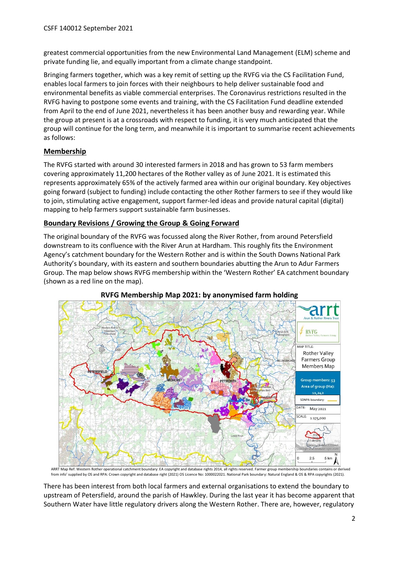greatest commercial opportunities from the new Environmental Land Management (ELM) scheme and private funding lie, and equally important from a climate change standpoint.

Bringing farmers together, which was a key remit of setting up the RVFG via the CS Facilitation Fund, enables local farmers to join forces with their neighbours to help deliver sustainable food and environmental benefits as viable commercial enterprises. The Coronavirus restrictions resulted in the RVFG having to postpone some events and training, with the CS Facilitation Fund deadline extended from April to the end of June 2021, nevertheless it has been another busy and rewarding year. While the group at present is at a crossroads with respect to funding, it is very much anticipated that the group will continue for the long term, and meanwhile it is important to summarise recent achievements as follows:

# **Membership**

The RVFG started with around 30 interested farmers in 2018 and has grown to 53 farm members covering approximately 11,200 hectares of the Rother valley as of June 2021. It is estimated this represents approximately 65% of the actively farmed area within our original boundary. Key objectives going forward (subject to funding) include contacting the other Rother farmers to see if they would like to join, stimulating active engagement, support farmer-led ideas and provide natural capital (digital) mapping to help farmers support sustainable farm businesses.

# **Boundary Revisions / Growing the Group & Going Forward**

The original boundary of the RVFG was focussed along the River Rother, from around Petersfield downstream to its confluence with the River Arun at Hardham. This roughly fits the Environment Agency's catchment boundary for the Western Rother and is within the South Downs National Park Authority's boundary, with its eastern and southern boundaries abutting the Arun to Adur Farmers Group. The map below shows RVFG membership within the 'Western Rother' EA catchment boundary (shown as a red line on the map).



# **RVFG Membership Map 2021: by anonymised farm holding**

ARRT Map Ref: Western Rother operational catchment boundary: EA copyright and database rights 2014, all rights reserved. Farmer group membership boundaries contains or derived<br>from info' supplied by OS and RPA: Crown copyr

There has been interest from both local farmers and external organisations to extend the boundary to upstream of Petersfield, around the parish of Hawkley. During the last year it has become apparent that Southern Water have little regulatory drivers along the Western Rother. There are, however, regulatory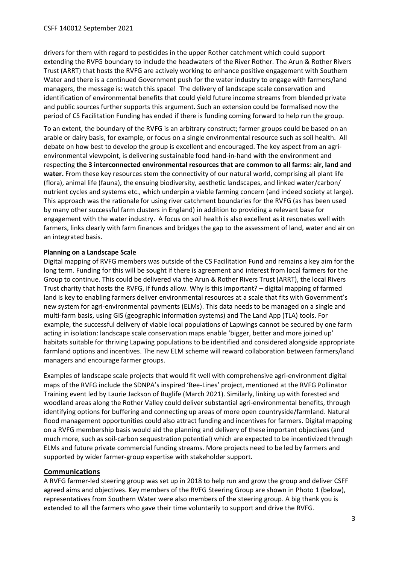drivers for them with regard to pesticides in the upper Rother catchment which could support extending the RVFG boundary to include the headwaters of the River Rother. The Arun & Rother Rivers Trust (ARRT) that hosts the RVFG are actively working to enhance positive engagement with Southern Water and there is a continued Government push for the water industry to engage with farmers/land managers, the message is: watch this space! The delivery of landscape scale conservation and identification of environmental benefits that could yield future income streams from blended private and public sources further supports this argument. Such an extension could be formalised now the period of CS Facilitation Funding has ended if there is funding coming forward to help run the group.

To an extent, the boundary of the RVFG is an arbitrary construct; farmer groups could be based on an arable or dairy basis, for example, or focus on a single environmental resource such as soil health. All debate on how best to develop the group is excellent and encouraged. The key aspect from an agrienvironmental viewpoint, is delivering sustainable food hand-in-hand with the environment and respecting **the 3 interconnected environmental resources that are common to all farms: air, land and water.** From these key resources stem the connectivity of our natural world, comprising all plant life (flora), animal life (fauna), the ensuing biodiversity, aesthetic landscapes, and linked water/carbon/ nutrient cycles and systems etc., which underpin a viable farming concern (and indeed society at large). This approach was the rationale for using river catchment boundaries for the RVFG (as has been used by many other successful farm clusters in England) in addition to providing a relevant base for engagement with the water industry. A focus on soil health is also excellent as it resonates well with farmers, links clearly with farm finances and bridges the gap to the assessment of land, water and air on an integrated basis.

#### **Planning on a Landscape Scale**

Digital mapping of RVFG members was outside of the CS Facilitation Fund and remains a key aim for the long term. Funding for this will be sought if there is agreement and interest from local farmers for the Group to continue. This could be delivered via the Arun & Rother Rivers Trust (ARRT), the local Rivers Trust charity that hosts the RVFG, if funds allow. Why is this important? – digital mapping of farmed land is key to enabling farmers deliver environmental resources at a scale that fits with Government's new system for agri-environmental payments (ELMs). This data needs to be managed on a single and multi-farm basis, using GIS (geographic information systems) and The Land App (TLA) tools. For example, the successful delivery of viable local populations of Lapwings cannot be secured by one farm acting in isolation: landscape scale conservation maps enable 'bigger, better and more joined up' habitats suitable for thriving Lapwing populations to be identified and considered alongside appropriate farmland options and incentives. The new ELM scheme will reward collaboration between farmers/land managers and encourage farmer groups.

Examples of landscape scale projects that would fit well with comprehensive agri-environment digital maps of the RVFG include the SDNPA's inspired 'Bee-Lines' project, mentioned at the RVFG Pollinator Training event led by Laurie Jackson of Buglife (March 2021). Similarly, linking up with forested and woodland areas along the Rother Valley could deliver substantial agri-environmental benefits, through identifying options for buffering and connecting up areas of more open countryside/farmland. Natural flood management opportunities could also attract funding and incentives for farmers. Digital mapping on a RVFG membership basis would aid the planning and delivery of these important objectives (and much more, such as soil-carbon sequestration potential) which are expected to be incentivized through ELMs and future private commercial funding streams. More projects need to be led by farmers and supported by wider farmer-group expertise with stakeholder support.

# **Communications**

A RVFG farmer-led steering group was set up in 2018 to help run and grow the group and deliver CSFF agreed aims and objectives. Key members of the RVFG Steering Group are shown in Photo 1 (below), representatives from Southern Water were also members of the steering group. A big thank you is extended to all the farmers who gave their time voluntarily to support and drive the RVFG.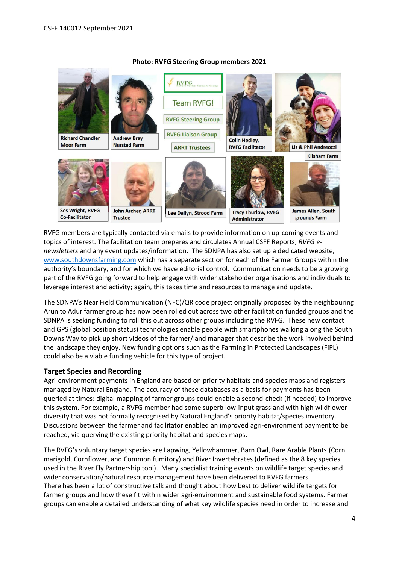

#### **Photo: RVFG Steering Group members 2021**

RVFG members are typically contacted via emails to provide information on up-coming events and topics of interest. The facilitation team prepares and circulates Annual CSFF Reports, *RVFG enewsletters* and any event updates/information. The SDNPA has also set up a dedicated website, [www.southdownsfarming.com](http://www.southdownsfarming.com/) which has a separate section for each of the Farmer Groups within the authority's boundary, and for which we have editorial control. Communication needs to be a growing part of the RVFG going forward to help engage with wider stakeholder organisations and individuals to leverage interest and activity; again, this takes time and resources to manage and update.

The SDNPA's Near Field Communication (NFC)/QR code project originally proposed by the neighbouring Arun to Adur farmer group has now been rolled out across two other facilitation funded groups and the SDNPA is seeking funding to roll this out across other groups including the RVFG. These new contact and GPS (global position status) technologies enable people with smartphones walking along the South Downs Way to pick up short videos of the farmer/land manager that describe the work involved behind the landscape they enjoy. New funding options such as the Farming in Protected Landscapes (FiPL) could also be a viable funding vehicle for this type of project.

#### **Target Species and Recording**

Agri-environment payments in England are based on priority habitats and species maps and registers managed by Natural England. The accuracy of these databases as a basis for payments has been queried at times: digital mapping of farmer groups could enable a second-check (if needed) to improve this system. For example, a RVFG member had some superb low-input grassland with high wildflower diversity that was not formally recognised by Natural England's priority habitat/species inventory. Discussions between the farmer and facilitator enabled an improved agri-environment payment to be reached, via querying the existing priority habitat and species maps.

The RVFG's voluntary target species are Lapwing, Yellowhammer, Barn Owl, Rare Arable Plants (Corn marigold, Cornflower, and Common fumitory) and River Invertebrates (defined as the 8 key species used in the River Fly Partnership tool). Many specialist training events on wildlife target species and wider conservation/natural resource management have been delivered to RVFG farmers. There has been a lot of constructive talk and thought about how best to deliver wildlife targets for farmer groups and how these fit within wider agri-environment and sustainable food systems. Farmer groups can enable a detailed understanding of what key wildlife species need in order to increase and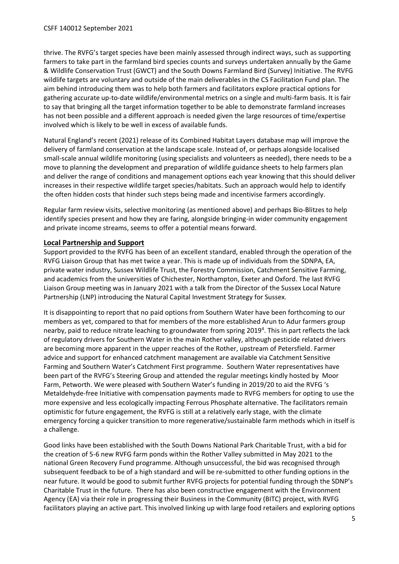thrive. The RVFG's target species have been mainly assessed through indirect ways, such as supporting farmers to take part in the farmland bird species counts and surveys undertaken annually by the Game & Wildlife Conservation Trust (GWCT) and the South Downs Farmland Bird (Survey) Initiative. The RVFG wildlife targets are voluntary and outside of the main deliverables in the CS Facilitation Fund plan. The aim behind introducing them was to help both farmers and facilitators explore practical options for gathering accurate up-to-date wildlife/environmental metrics on a single and multi-farm basis. It is fair to say that bringing all the target information together to be able to demonstrate farmland increases has not been possible and a different approach is needed given the large resources of time/expertise involved which is likely to be well in excess of available funds.

Natural England's recent (2021) release of its Combined Habitat Layers database map will improve the delivery of farmland conservation at the landscape scale. Instead of, or perhaps alongside localised small-scale annual wildlife monitoring (using specialists and volunteers as needed), there needs to be a move to planning the development and preparation of wildlife guidance sheets to help farmers plan and deliver the range of conditions and management options each year knowing that this should deliver increases in their respective wildlife target species/habitats. Such an approach would help to identify the often hidden costs that hinder such steps being made and incentivise farmers accordingly.

Regular farm review visits, selective monitoring (as mentioned above) and perhaps Bio-Blitzes to help identify species present and how they are faring, alongside bringing-in wider community engagement and private income streams, seems to offer a potential means forward.

### **Local Partnership and Support**

Support provided to the RVFG has been of an excellent standard, enabled through the operation of the RVFG Liaison Group that has met twice a year. This is made up of individuals from the SDNPA, EA, private water industry, Sussex Wildlife Trust, the Forestry Commission, Catchment Sensitive Farming, and academics from the universities of Chichester, Northampton, Exeter and Oxford. The last RVFG Liaison Group meeting was in January 2021 with a talk from the Director of the Sussex Local Nature Partnership (LNP) introducing the Natural Capital Investment Strategy for Sussex.

It is disappointing to report that no paid options from Southern Water have been forthcoming to our members as yet, compared to that for members of the more established Arun to Adur farmers group nearby, paid to reduce nitrate leaching to groundwater from spring 2019<sup>4</sup>. This in part reflects the lack of regulatory drivers for Southern Water in the main Rother valley, although pesticide related drivers are becoming more apparent in the upper reaches of the Rother, upstream of Petersfield. Farmer advice and support for enhanced catchment management are available via Catchment Sensitive Farming and Southern Water's Catchment First programme. Southern Water representatives have been part of the RVFG's Steering Group and attended the regular meetings kindly hosted by Moor Farm, Petworth. We were pleased with Southern Water's funding in 2019/20 to aid the RVFG 's Metaldehyde-free Initiative with compensation payments made to RVFG members for opting to use the more expensive and less ecologically impacting Ferrous Phosphate alternative. The facilitators remain optimistic for future engagement, the RVFG is still at a relatively early stage, with the climate emergency forcing a quicker transition to more regenerative/sustainable farm methods which in itself is a challenge.

Good links have been established with the South Downs National Park Charitable Trust, with a bid for the creation of 5-6 new RVFG farm ponds within the Rother Valley submitted in May 2021 to the national Green Recovery Fund programme. Although unsuccessful, the bid was recognised through subsequent feedback to be of a high standard and will be re-submitted to other funding options in the near future. It would be good to submit further RVFG projects for potential funding through the SDNP's Charitable Trust in the future. There has also been constructive engagement with the Environment Agency (EA) via their role in progressing their Business in the Community (BITC) project, with RVFG facilitators playing an active part. This involved linking up with large food retailers and exploring options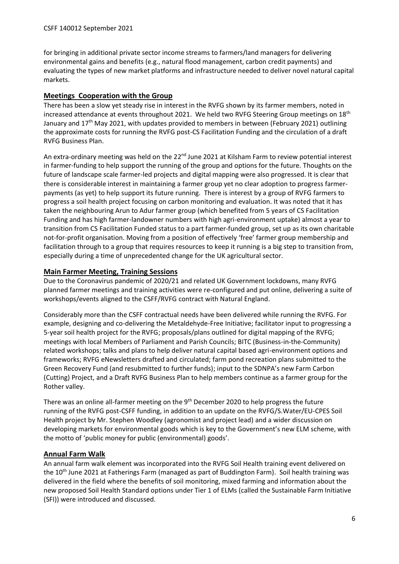for bringing in additional private sector income streams to farmers/land managers for delivering environmental gains and benefits (e.g., natural flood management, carbon credit payments) and evaluating the types of new market platforms and infrastructure needed to deliver novel natural capital markets.

## **Meetings Cooperation with the Group**

There has been a slow yet steady rise in interest in the RVFG shown by its farmer members, noted in increased attendance at events throughout 2021. We held two RVFG Steering Group meetings on 18<sup>th</sup> January and 17th May 2021, with updates provided to members in between (February 2021) outlining the approximate costs for running the RVFG post-CS Facilitation Funding and the circulation of a draft RVFG Business Plan.

An extra-ordinary meeting was held on the 22<sup>nd</sup> June 2021 at Kilsham Farm to review potential interest in farmer-funding to help support the running of the group and options for the future. Thoughts on the future of landscape scale farmer-led projects and digital mapping were also progressed. It is clear that there is considerable interest in maintaining a farmer group yet no clear adoption to progress farmerpayments (as yet) to help support its future running. There is interest by a group of RVFG farmers to progress a soil health project focusing on carbon monitoring and evaluation. It was noted that it has taken the neighbouring Arun to Adur farmer group (which benefited from 5 years of CS Facilitation Funding and has high farmer-landowner numbers with high agri-environment uptake) almost a year to transition from CS Facilitation Funded status to a part farmer-funded group, set up as its own charitable not-for-profit organisation. Moving from a position of effectively 'free' farmer group membership and facilitation through to a group that requires resources to keep it running is a big step to transition from, especially during a time of unprecedented change for the UK agricultural sector.

### **Main Farmer Meeting, Training Sessions**

Due to the Coronavirus pandemic of 2020/21 and related UK Government lockdowns, many RVFG planned farmer meetings and training activities were re-configured and put online, delivering a suite of workshops/events aligned to the CSFF/RVFG contract with Natural England.

Considerably more than the CSFF contractual needs have been delivered while running the RVFG. For example, designing and co-delivering the Metaldehyde-Free Initiative; facilitator input to progressing a 5-year soil health project for the RVFG; proposals/plans outlined for digital mapping of the RVFG; meetings with local Members of Parliament and Parish Councils; BITC (Business-in-the-Community) related workshops; talks and plans to help deliver natural capital based agri-environment options and frameworks; RVFG eNewsletters drafted and circulated; farm pond recreation plans submitted to the Green Recovery Fund (and resubmitted to further funds); input to the SDNPA's new Farm Carbon (Cutting) Project, and a Draft RVFG Business Plan to help members continue as a farmer group for the Rother valley.

There was an online all-farmer meeting on the 9<sup>th</sup> December 2020 to help progress the future running of the RVFG post-CSFF funding, in addition to an update on the RVFG/S.Water/EU-CPES Soil Health project by Mr. Stephen Woodley (agronomist and project lead) and a wider discussion on developing markets for environmental goods which is key to the Government's new ELM scheme, with the motto of 'public money for public (environmental) goods'.

# **Annual Farm Walk**

An annual farm walk element was incorporated into the RVFG Soil Health training event delivered on the 10<sup>th</sup> June 2021 at Fatherings Farm (managed as part of Buddington Farm). Soil health training was delivered in the field where the benefits of soil monitoring, mixed farming and information about the new proposed Soil Health Standard options under Tier 1 of ELMs (called the Sustainable Farm Initiative (SFI)) were introduced and discussed.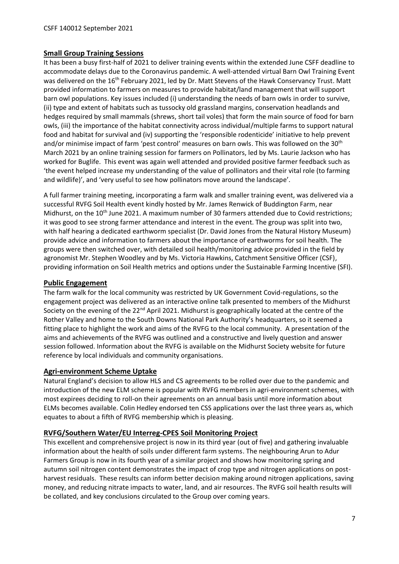### **Small Group Training Sessions**

It has been a busy first-half of 2021 to deliver training events within the extended June CSFF deadline to accommodate delays due to the Coronavirus pandemic. A well-attended virtual Barn Owl Training Event was delivered on the 16<sup>th</sup> February 2021, led by Dr. Matt Stevens of the Hawk Conservancy Trust. Matt provided information to farmers on measures to provide habitat/land management that will support barn owl populations. Key issues included (i) understanding the needs of barn owls in order to survive, (ii) type and extent of habitats such as tussocky old grassland margins, conservation headlands and hedges required by small mammals (shrews, short tail voles) that form the main source of food for barn owls, (iii) the importance of the habitat connectivity across individual/multiple farms to support natural food and habitat for survival and (iv) supporting the 'responsible rodenticide' initiative to help prevent and/or minimise impact of farm 'pest control' measures on barn owls. This was followed on the 30th March 2021 by an online training session for farmers on Pollinators, led by Ms. Laurie Jackson who has worked for Buglife. This event was again well attended and provided positive farmer feedback such as 'the event helped increase my understanding of the value of pollinators and their vital role (to farming and wildlife)', and 'very useful to see how pollinators move around the landscape'.

A full farmer training meeting, incorporating a farm walk and smaller training event, was delivered via a successful RVFG Soil Health event kindly hosted by Mr. James Renwick of Buddington Farm, near Midhurst, on the 10<sup>th</sup> June 2021. A maximum number of 30 farmers attended due to Covid restrictions; it was good to see strong farmer attendance and interest in the event. The group was split into two, with half hearing a dedicated earthworm specialist (Dr. David Jones from the Natural History Museum) provide advice and information to farmers about the importance of earthworms for soil health. The groups were then switched over, with detailed soil health/monitoring advice provided in the field by agronomist Mr. Stephen Woodley and by Ms. Victoria Hawkins, Catchment Sensitive Officer (CSF), providing information on Soil Health metrics and options under the Sustainable Farming Incentive (SFI).

#### **Public Engagement**

The farm walk for the local community was restricted by UK Government Covid-regulations, so the engagement project was delivered as an interactive online talk presented to members of the Midhurst Society on the evening of the 22<sup>nd</sup> April 2021. Midhurst is geographically located at the centre of the Rother Valley and home to the South Downs National Park Authority's headquarters, so it seemed a fitting place to highlight the work and aims of the RVFG to the local community. A presentation of the aims and achievements of the RVFG was outlined and a constructive and lively question and answer session followed. Information about the RVFG is available on the Midhurst Society website for future reference by local individuals and community organisations.

#### **Agri-environment Scheme Uptake**

Natural England's decision to allow HLS and CS agreements to be rolled over due to the pandemic and introduction of the new ELM scheme is popular with RVFG members in agri-environment schemes, with most expirees deciding to roll-on their agreements on an annual basis until more information about ELMs becomes available. Colin Hedley endorsed ten CSS applications over the last three years as, which equates to about a fifth of RVFG membership which is pleasing.

# **RVFG/Southern Water/EU Interreg-CPES Soil Monitoring Project**

This excellent and comprehensive project is now in its third year (out of five) and gathering invaluable information about the health of soils under different farm systems. The neighbouring Arun to Adur Farmers Group is now in its fourth year of a similar project and shows how monitoring spring and autumn soil nitrogen content demonstrates the impact of crop type and nitrogen applications on postharvest residuals. These results can inform better decision making around nitrogen applications, saving money, and reducing nitrate impacts to water, land, and air resources. The RVFG soil health results will be collated, and key conclusions circulated to the Group over coming years.